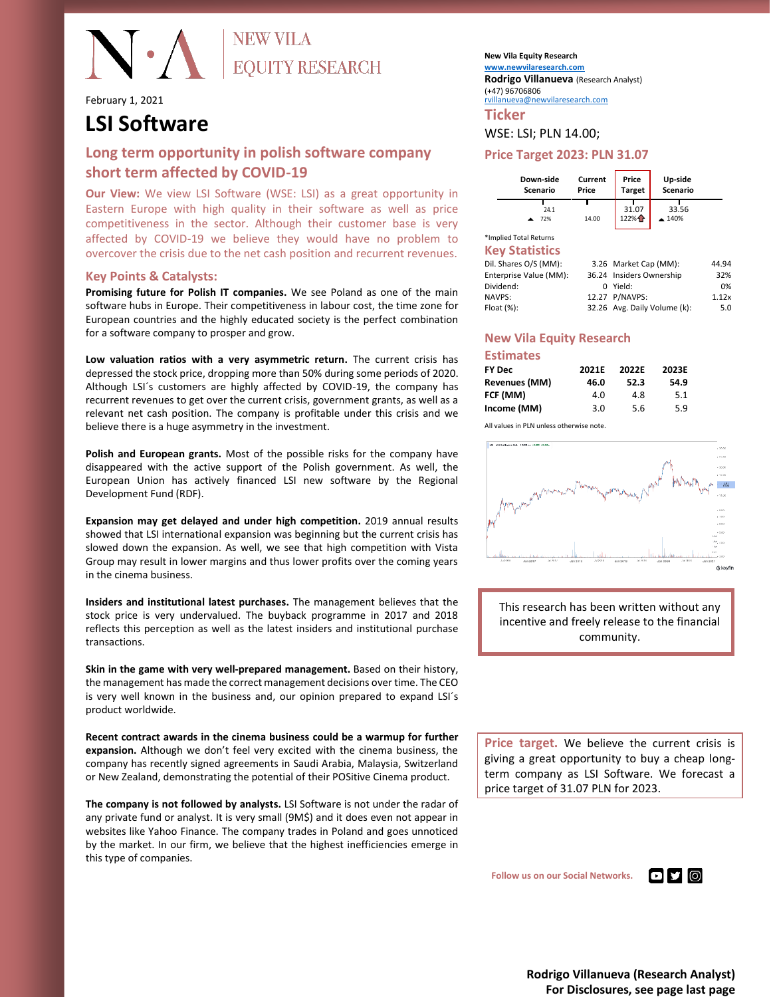February 1, 2021

EQUITY RESEARCH

# **LSI Software**

### **Long term opportunity in polish software company short term affected by COVID-19**

**Our View:** We view LSI Software (WSE: LSI) as a great opportunity in Eastern Europe with high quality in their software as well as price competitiveness in the sector. Although their customer base is very affected by COVID-19 we believe they would have no problem to overcover the crisis due to the net cash position and recurrent revenues.

#### **Key Points & Catalysts:**

**Promising future for Polish IT companies.** We see Poland as one of the main software hubs in Europe. Their competitiveness in labour cost, the time zone for European countries and the highly educated society is the perfect combination for a software company to prosper and grow.

**Low valuation ratios with a very asymmetric return.** The current crisis has depressed the stock price, dropping more than 50% during some periods of 2020. Although LSI´s customers are highly affected by COVID-19, the company has recurrent revenues to get over the current crisis, government grants, as well as a relevant net cash position. The company is profitable under this crisis and we believe there is a huge asymmetry in the investment.

**Polish and European grants.** Most of the possible risks for the company have disappeared with the active support of the Polish government. As well, the European Union has actively financed LSI new software by the Regional Development Fund (RDF).

**Expansion may get delayed and under high competition.** 2019 annual results showed that LSI international expansion was beginning but the current crisis has slowed down the expansion. As well, we see that high competition with Vista Group may result in lower margins and thus lower profits over the coming years in the cinema business.

**Insiders and institutional latest purchases.** The management believes that the stock price is very undervalued. The buyback programme in 2017 and 2018 reflects this perception as well as the latest insiders and institutional purchase transactions.

**Skin in the game with very well-prepared management.** Based on their history, the management has made the correct management decisions over time. The CEO is very well known in the business and, our opinion prepared to expand LSI´s product worldwide.

**Recent contract awards in the cinema business could be a warmup for further expansion.** Although we don't feel very excited with the cinema business, the company has recently signed agreements in Saudi Arabia, Malaysia, Switzerland or New Zealand, demonstrating the potential of their POSitive Cinema product.

**The company is not followed by analysts.** LSI Software is not under the radar of any private fund or analyst. It is very small (9M\$) and it does even not appear in websites like Yahoo Finance. The company trades in Poland and goes unnoticed by the market. In our firm, we believe that the highest inefficiencies emerge in this type of companies.

**New Vila Equity Research [www.newvilaresearch.com](file:///C:/Users/rovil/Downloads/www.newvilaresearch.com) Rodrigo Villanueva** (Research Analyst) (+47) 96706806

[rvillanueva@newvilaresearch.com](mailto:rvillanueva@newvilaresearch.com)

**Ticker**

#### WSE: LSI; PLN 14.00;

#### **Price Target 2023: PLN 31.07**

| Down-side | Current | Price         | Up-side               |
|-----------|---------|---------------|-----------------------|
| Scenario  | Price   | <b>Target</b> | Scenario              |
| 24.1      | 14.00   | 31.07         | 33.56                 |
| 72%       |         | 122%          | $\blacktriangle$ 140% |

\*Implied Total Returns **Key Statistics**

| ns y seumonss          |                              |       |
|------------------------|------------------------------|-------|
| Dil. Shares O/S (MM):  | 3.26 Market Cap (MM):        | 44.94 |
| Enterprise Value (MM): | 36.24 Insiders Ownership     | 32%   |
| Dividend:              | 0 Yield:                     | 0%    |
| <b>NAVPS:</b>          | 12.27 P/NAVPS:               | 1.12x |
| Float (%):             | 32.26 Avg. Daily Volume (k): | 5.0   |
|                        |                              |       |

#### **New Vila Equity Research**

| <b>Estimates</b> |       |       |       |
|------------------|-------|-------|-------|
| <b>FY Dec</b>    | 2021E | 2022F | 2023E |
| Revenues (MM)    | 46.0  | 52.3  | 54.9  |
| FCF (MM)         | 4.0   | 4.8   | 5.1   |
| Income (MM)      | 3.0   | 5.6   | 5.9   |

All values in PLN unless otherwise note.



This research has been written without any incentive and freely release to the financial community.

**Price target.** We believe the current crisis is giving a great opportunity to buy a cheap longterm company as LSI Software. We forecast a price target of 31.07 PLN for 2023.

 **Follow us on our Social Networks.**

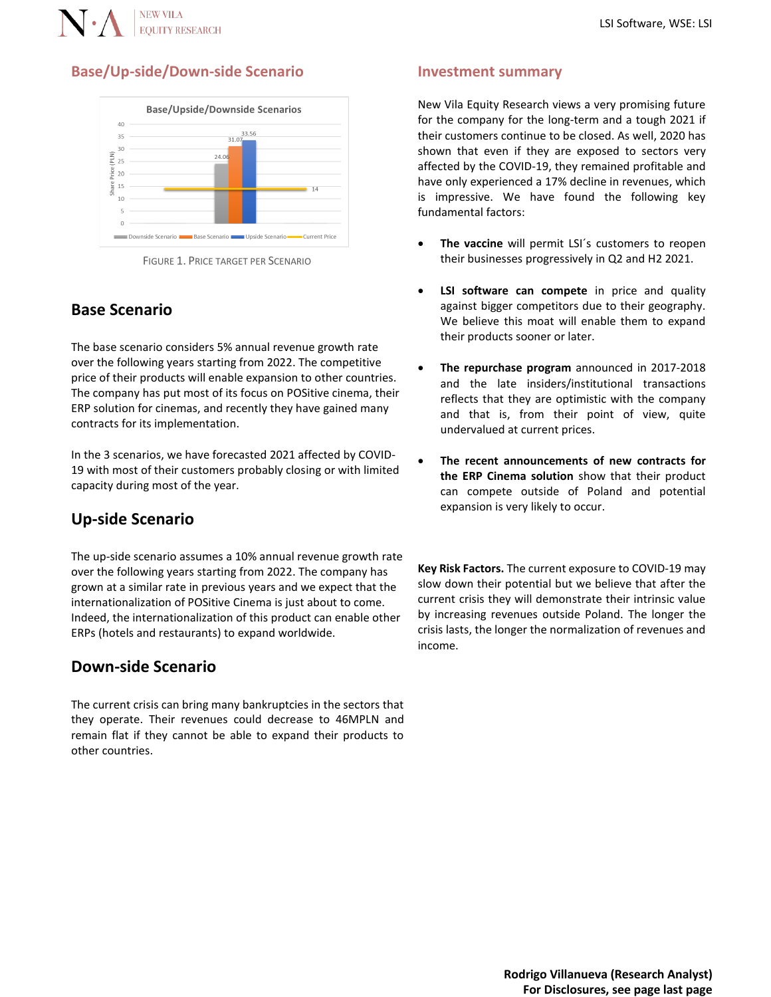

### **Base/Up-side/Down-side Scenario**





# **Base Scenario**

The base scenario considers 5% annual revenue growth rate over the following years starting from 2022. The competitive price of their products will enable expansion to other countries. The company has put most of its focus on POSitive cinema, their ERP solution for cinemas, and recently they have gained many contracts for its implementation.

In the 3 scenarios, we have forecasted 2021 affected by COVID-19 with most of their customers probably closing or with limited capacity during most of the year.

# **Up-side Scenario**

The up-side scenario assumes a 10% annual revenue growth rate over the following years starting from 2022. The company has grown at a similar rate in previous years and we expect that the internationalization of POSitive Cinema is just about to come. Indeed, the internationalization of this product can enable other ERPs (hotels and restaurants) to expand worldwide.

## **Down-side Scenario**

The current crisis can bring many bankruptcies in the sectors that they operate. Their revenues could decrease to 46MPLN and remain flat if they cannot be able to expand their products to other countries.

#### **Investment summary**

New Vila Equity Research views a very promising future for the company for the long-term and a tough 2021 if their customers continue to be closed. As well, 2020 has shown that even if they are exposed to sectors very affected by the COVID-19, they remained profitable and have only experienced a 17% decline in revenues, which is impressive. We have found the following key fundamental factors:

- The vaccine will permit LSI's customers to reopen their businesses progressively in Q2 and H2 2021.
- **LSI software can compete** in price and quality against bigger competitors due to their geography. We believe this moat will enable them to expand their products sooner or later.
- **The repurchase program** announced in 2017-2018 and the late insiders/institutional transactions reflects that they are optimistic with the company and that is, from their point of view, quite undervalued at current prices.
- **The recent announcements of new contracts for the ERP Cinema solution** show that their product can compete outside of Poland and potential expansion is very likely to occur.

**Key Risk Factors.** The current exposure to COVID-19 may slow down their potential but we believe that after the current crisis they will demonstrate their intrinsic value by increasing revenues outside Poland. The longer the crisis lasts, the longer the normalization of revenues and income.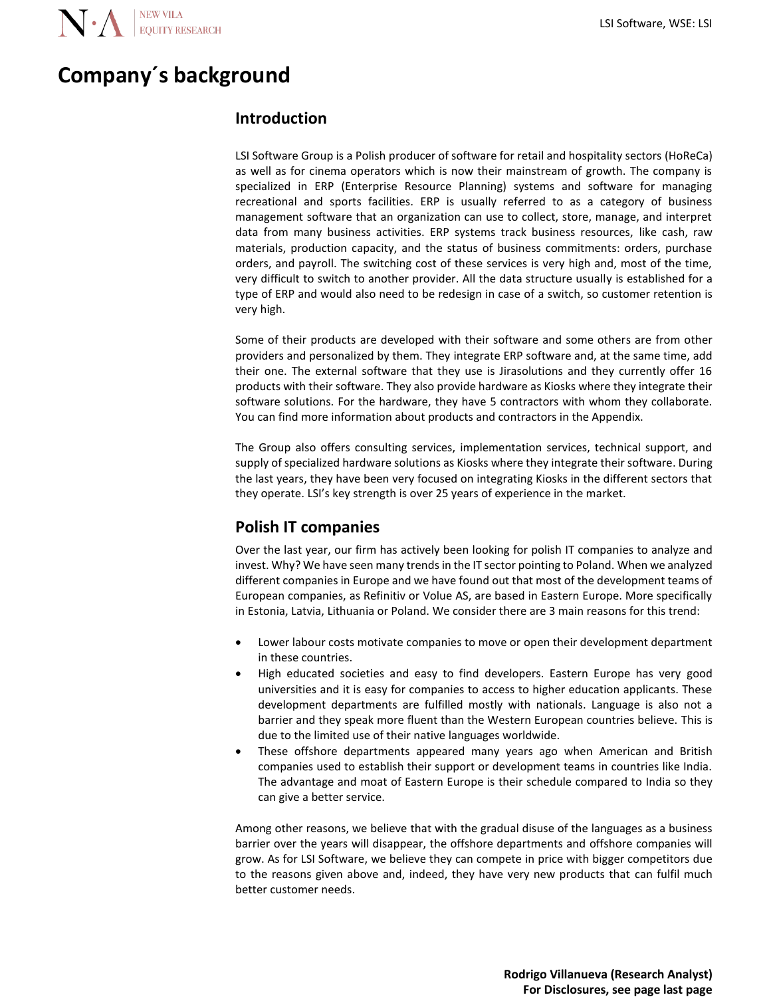# **Company´s background**

## **Introduction**

LSI Software Group is a Polish producer of software for retail and hospitality sectors (HoReCa) as well as for cinema operators which is now their mainstream of growth. The company is specialized in ERP (Enterprise Resource Planning) systems and software for managing recreational and sports facilities. ERP is usually referred to as a category of business management software that an organization can use to collect, store, manage, and interpret data from many business activities. ERP systems track business resources, like cash, raw materials, production capacity, and the status of business commitments: orders, purchase orders, and payroll. The switching cost of these services is very high and, most of the time, very difficult to switch to another provider. All the data structure usually is established for a type of ERP and would also need to be redesign in case of a switch, so customer retention is very high.

Some of their products are developed with their software and some others are from other providers and personalized by them. They integrate ERP software and, at the same time, add their one. The external software that they use is Jirasolutions and they currently offer 16 products with their software. They also provide hardware as Kiosks where they integrate their software solutions. For the hardware, they have 5 contractors with whom they collaborate. You can find more information about products and contractors in the Appendix.

The Group also offers consulting services, implementation services, technical support, and supply of specialized hardware solutions as Kiosks where they integrate their software. During the last years, they have been very focused on integrating Kiosks in the different sectors that they operate. LSI's key strength is over 25 years of experience in the market.

# **Polish IT companies**

Over the last year, our firm has actively been looking for polish IT companies to analyze and invest. Why? We have seen many trends in the IT sector pointing to Poland. When we analyzed different companies in Europe and we have found out that most of the development teams of European companies, as Refinitiv or Volue AS, are based in Eastern Europe. More specifically in Estonia, Latvia, Lithuania or Poland. We consider there are 3 main reasons for this trend:

- Lower labour costs motivate companies to move or open their development department in these countries.
- High educated societies and easy to find developers. Eastern Europe has very good universities and it is easy for companies to access to higher education applicants. These development departments are fulfilled mostly with nationals. Language is also not a barrier and they speak more fluent than the Western European countries believe. This is due to the limited use of their native languages worldwide.
- These offshore departments appeared many years ago when American and British companies used to establish their support or development teams in countries like India. The advantage and moat of Eastern Europe is their schedule compared to India so they can give a better service.

Among other reasons, we believe that with the gradual disuse of the languages as a business barrier over the years will disappear, the offshore departments and offshore companies will grow. As for LSI Software, we believe they can compete in price with bigger competitors due to the reasons given above and, indeed, they have very new products that can fulfil much better customer needs.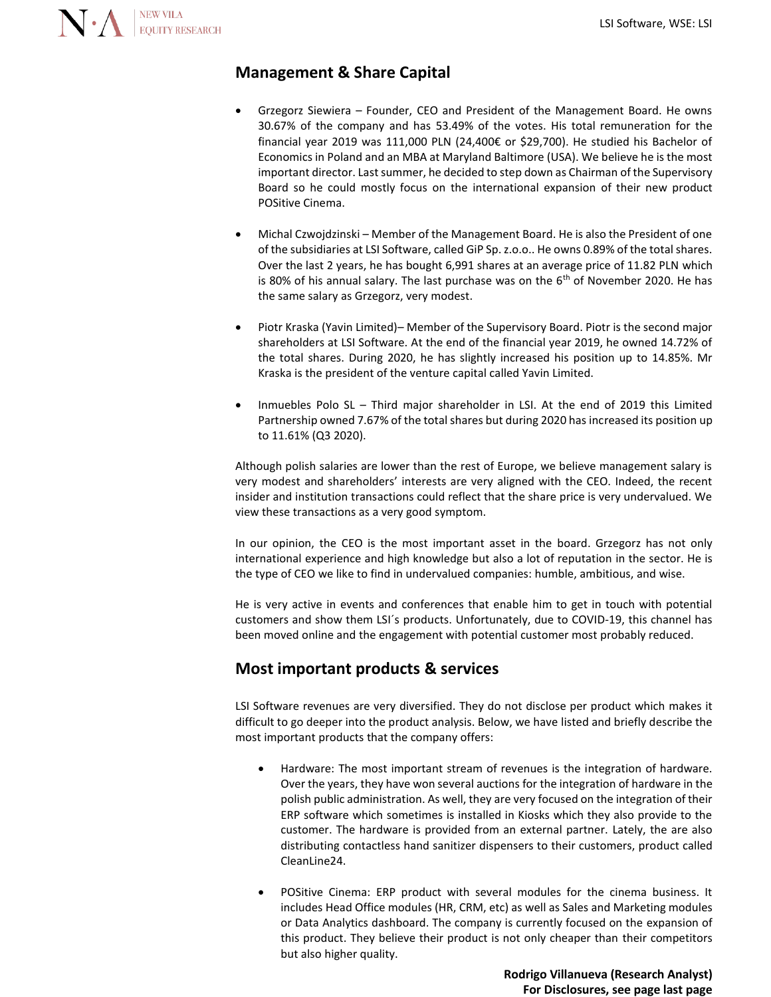## **Management & Share Capital**

- Grzegorz Siewiera Founder, CEO and President of the Management Board. He owns 30.67% of the company and has 53.49% of the votes. His total remuneration for the financial year 2019 was 111,000 PLN (24,400€ or \$29,700). He studied his Bachelor of Economics in Poland and an MBA at Maryland Baltimore (USA). We believe he is the most important director. Last summer, he decided to step down as Chairman of the Supervisory Board so he could mostly focus on the international expansion of their new product POSitive Cinema.
- Michal Czwojdzinski Member of the Management Board. He is also the President of one of the subsidiaries at LSI Software, called GiP Sp. z.o.o.. He owns 0.89% of the total shares. Over the last 2 years, he has bought 6,991 shares at an average price of 11.82 PLN which is 80% of his annual salary. The last purchase was on the  $6<sup>th</sup>$  of November 2020. He has the same salary as Grzegorz, very modest.
- Piotr Kraska (Yavin Limited)– Member of the Supervisory Board. Piotr is the second major shareholders at LSI Software. At the end of the financial year 2019, he owned 14.72% of the total shares. During 2020, he has slightly increased his position up to 14.85%. Mr Kraska is the president of the venture capital called Yavin Limited.
- Inmuebles Polo SL Third major shareholder in LSI. At the end of 2019 this Limited Partnership owned 7.67% of the total shares but during 2020 has increased its position up to 11.61% (Q3 2020).

Although polish salaries are lower than the rest of Europe, we believe management salary is very modest and shareholders' interests are very aligned with the CEO. Indeed, the recent insider and institution transactions could reflect that the share price is very undervalued. We view these transactions as a very good symptom.

In our opinion, the CEO is the most important asset in the board. Grzegorz has not only international experience and high knowledge but also a lot of reputation in the sector. He is the type of CEO we like to find in undervalued companies: humble, ambitious, and wise.

He is very active in events and conferences that enable him to get in touch with potential customers and show them LSI´s products. Unfortunately, due to COVID-19, this channel has been moved online and the engagement with potential customer most probably reduced.

### **Most important products & services**

LSI Software revenues are very diversified. They do not disclose per product which makes it difficult to go deeper into the product analysis. Below, we have listed and briefly describe the most important products that the company offers:

- Hardware: The most important stream of revenues is the integration of hardware. Over the years, they have won several auctions for the integration of hardware in the polish public administration. As well, they are very focused on the integration of their ERP software which sometimes is installed in Kiosks which they also provide to the customer. The hardware is provided from an external partner. Lately, the are also distributing contactless hand sanitizer dispensers to their customers, product called CleanLine24.
- POSitive Cinema: ERP product with several modules for the cinema business. It includes Head Office modules (HR, CRM, etc) as well as Sales and Marketing modules or Data Analytics dashboard. The company is currently focused on the expansion of this product. They believe their product is not only cheaper than their competitors but also higher quality.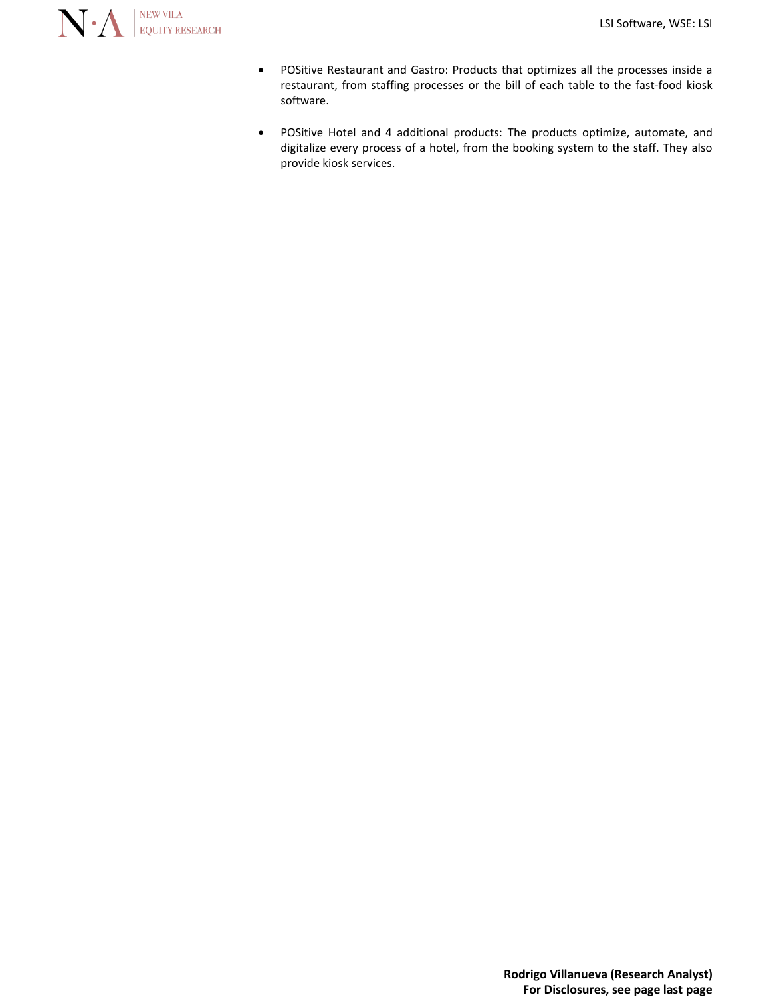

- POSitive Restaurant and Gastro: Products that optimizes all the processes inside a restaurant, from staffing processes or the bill of each table to the fast-food kiosk software.
- POSitive Hotel and 4 additional products: The products optimize, automate, and digitalize every process of a hotel, from the booking system to the staff. They also provide kiosk services.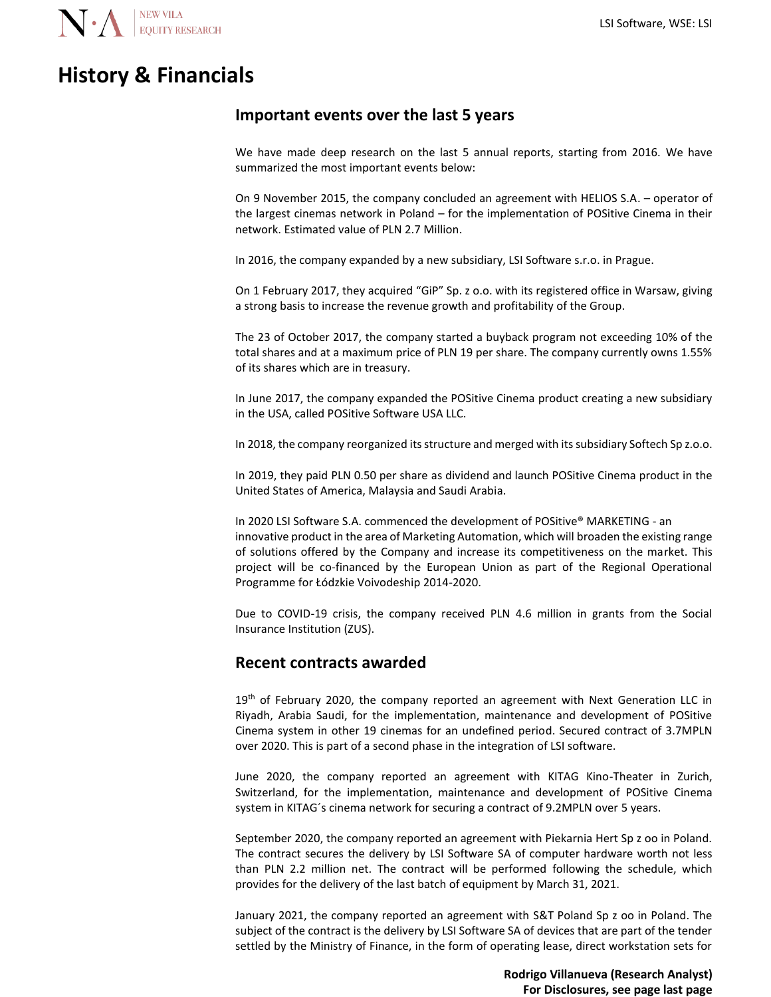

# **History & Financials**

### **Important events over the last 5 years**

We have made deep research on the last 5 annual reports, starting from 2016. We have summarized the most important events below:

On 9 November 2015, the company concluded an agreement with HELIOS S.A. – operator of the largest cinemas network in Poland – for the implementation of POSitive Cinema in their network. Estimated value of PLN 2.7 Million.

In 2016, the company expanded by a new subsidiary, LSI Software s.r.o. in Prague.

On 1 February 2017, they acquired "GiP" Sp. z o.o. with its registered office in Warsaw, giving a strong basis to increase the revenue growth and profitability of the Group.

The 23 of October 2017, the company started a buyback program not exceeding 10% of the total shares and at a maximum price of PLN 19 per share. The company currently owns 1.55% of its shares which are in treasury.

In June 2017, the company expanded the POSitive Cinema product creating a new subsidiary in the USA, called POSitive Software USA LLC.

In 2018, the company reorganized its structure and merged with its subsidiary Softech Sp z.o.o.

In 2019, they paid PLN 0.50 per share as dividend and launch POSitive Cinema product in the United States of America, Malaysia and Saudi Arabia.

In 2020 LSI Software S.A. commenced the development of POSitive® MARKETING - an innovative product in the area of Marketing Automation, which will broaden the existing range of solutions offered by the Company and increase its competitiveness on the market. This project will be co-financed by the European Union as part of the Regional Operational Programme for Łódzkie Voivodeship 2014-2020.

Due to COVID-19 crisis, the company received PLN 4.6 million in grants from the Social Insurance Institution (ZUS).

### **Recent contracts awarded**

 $19<sup>th</sup>$  of February 2020, the company reported an agreement with Next Generation LLC in Riyadh, Arabia Saudi, for the implementation, maintenance and development of POSitive Cinema system in other 19 cinemas for an undefined period. Secured contract of 3.7MPLN over 2020. This is part of a second phase in the integration of LSI software.

June 2020, the company reported an agreement with KITAG Kino-Theater in Zurich, Switzerland, for the implementation, maintenance and development of POSitive Cinema system in KITAG´s cinema network for securing a contract of 9.2MPLN over 5 years.

September 2020, the company reported an agreement with Piekarnia Hert Sp z oo in Poland. The contract secures the delivery by LSI Software SA of computer hardware worth not less than PLN 2.2 million net. The contract will be performed following the schedule, which provides for the delivery of the last batch of equipment by March 31, 2021.

January 2021, the company reported an agreement with S&T Poland Sp z oo in Poland. The subject of the contract is the delivery by LSI Software SA of devices that are part of the tender settled by the Ministry of Finance, in the form of operating lease, direct workstation sets for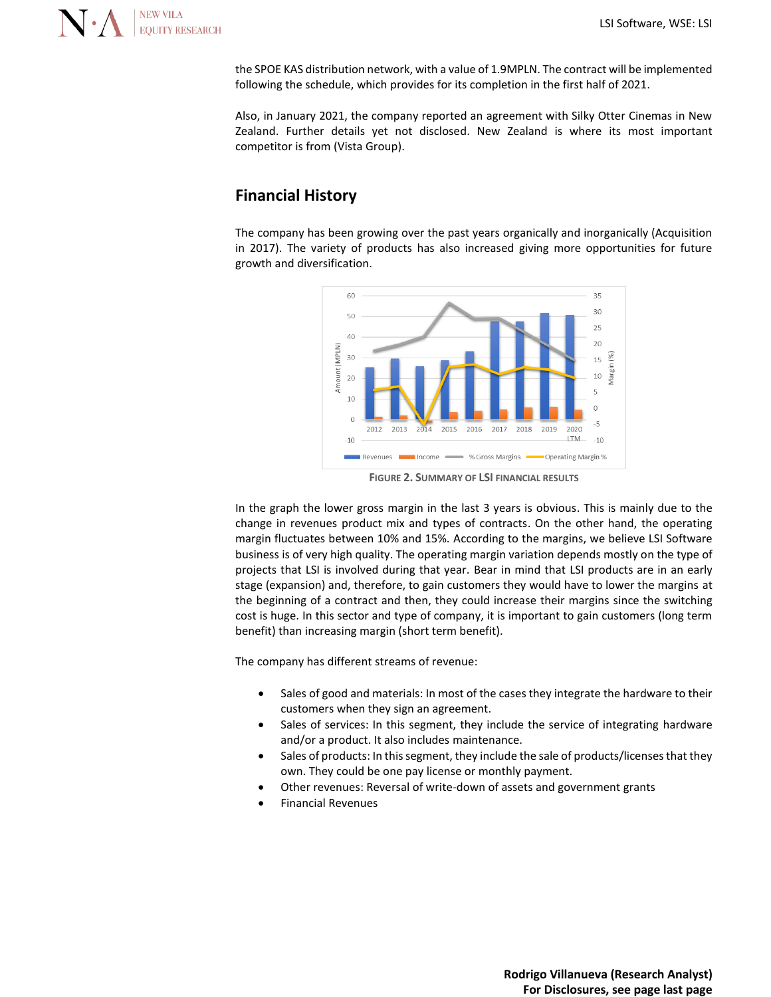

the SPOE KAS distribution network, with a value of 1.9MPLN. The contract will be implemented following the schedule, which provides for its completion in the first half of 2021.

Also, in January 2021, the company reported an agreement with Silky Otter Cinemas in New Zealand. Further details yet not disclosed. New Zealand is where its most important competitor is from (Vista Group).

## **Financial History**

The company has been growing over the past years organically and inorganically (Acquisition in 2017). The variety of products has also increased giving more opportunities for future growth and diversification.



**FIGURE 2. SUMMARY OF LSI FINANCIAL RESULTS**

In the graph the lower gross margin in the last 3 years is obvious. This is mainly due to the change in revenues product mix and types of contracts. On the other hand, the operating margin fluctuates between 10% and 15%. According to the margins, we believe LSI Software business is of very high quality. The operating margin variation depends mostly on the type of projects that LSI is involved during that year. Bear in mind that LSI products are in an early stage (expansion) and, therefore, to gain customers they would have to lower the margins at the beginning of a contract and then, they could increase their margins since the switching cost is huge. In this sector and type of company, it is important to gain customers (long term benefit) than increasing margin (short term benefit).

The company has different streams of revenue:

- Sales of good and materials: In most of the cases they integrate the hardware to their customers when they sign an agreement.
- Sales of services: In this segment, they include the service of integrating hardware and/or a product. It also includes maintenance.
- Sales of products: In this segment, they include the sale of products/licenses that they own. They could be one pay license or monthly payment.
- Other revenues: Reversal of write-down of assets and government grants
- Financial Revenues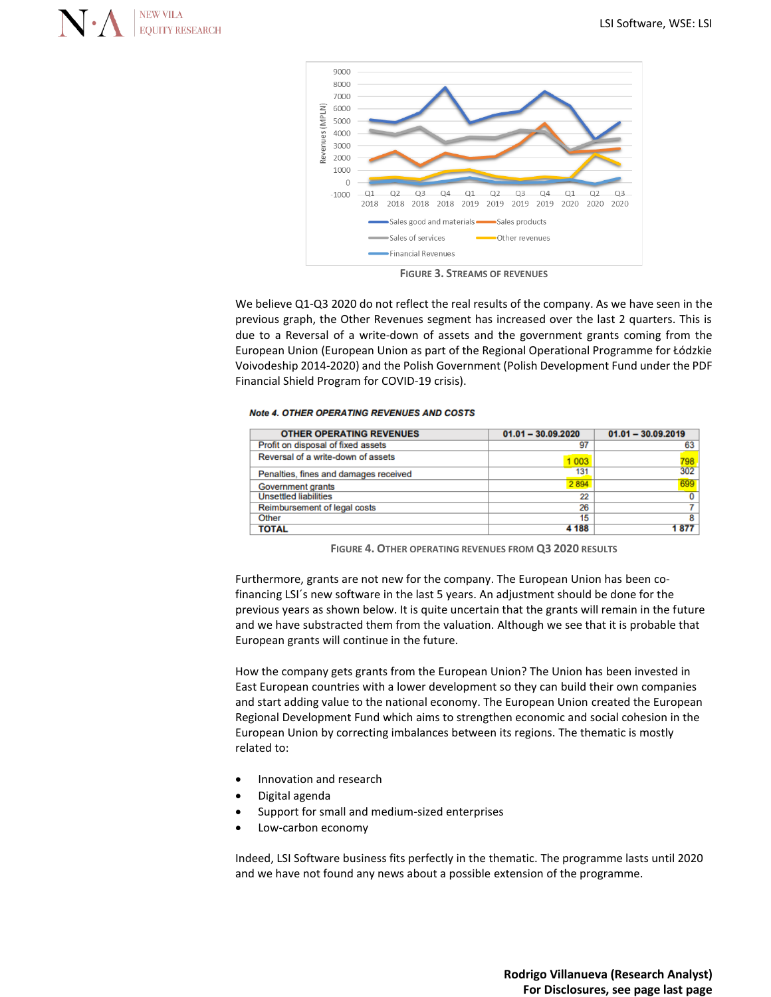



**FIGURE 3. STREAMS OF REVENUES**

We believe Q1-Q3 2020 do not reflect the real results of the company. As we have seen in the previous graph, the Other Revenues segment has increased over the last 2 quarters. This is due to a Reversal of a write-down of assets and the government grants coming from the European Union (European Union as part of the Regional Operational Programme for Łódzkie Voivodeship 2014-2020) and the Polish Government (Polish Development Fund under the PDF Financial Shield Program for COVID-19 crisis).

#### **Note 4. OTHER OPERATING REVENUES AND COSTS**

| <b>OTHER OPERATING REVENUES</b>       | $01.01 - 30.09.2020$ | $01.01 - 30.09.2019$ |
|---------------------------------------|----------------------|----------------------|
| Profit on disposal of fixed assets    | 97                   | 63                   |
| Reversal of a write-down of assets    | 1 0 0 3              | 798<br>302           |
| Penalties, fines and damages received | 131                  |                      |
| Government grants                     | 2894                 | 699                  |
| <b>Unsettled liabilities</b>          | 22                   |                      |
| Reimbursement of legal costs          | 26                   |                      |
| Other                                 | 15                   | 8                    |
| <b>TOTAL</b>                          | 4 188                | 877                  |

**FIGURE 4. OTHER OPERATING REVENUES FROM Q3 2020 RESULTS**

Furthermore, grants are not new for the company. The European Union has been cofinancing LSI´s new software in the last 5 years. An adjustment should be done for the previous years as shown below. It is quite uncertain that the grants will remain in the future and we have substracted them from the valuation. Although we see that it is probable that European grants will continue in the future.

How the company gets grants from the European Union? The Union has been invested in East European countries with a lower development so they can build their own companies and start adding value to the national economy. The European Union created the European Regional Development Fund which aims to strengthen economic and social cohesion in the European Union by correcting imbalances between its regions. The thematic is mostly related to:

- Innovation and research
- Digital agenda
- Support for small and medium-sized enterprises
- Low-carbon economy

Indeed, LSI Software business fits perfectly in the thematic. The programme lasts until 2020 and we have not found any news about a possible extension of the programme.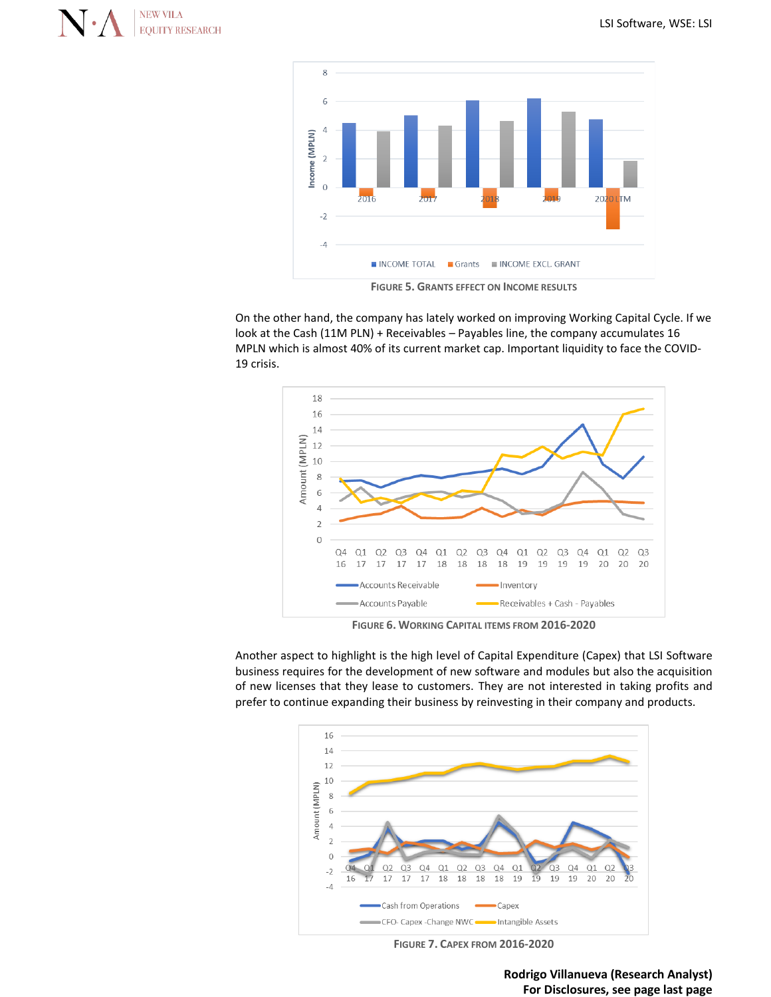



**FIGURE 5. GRANTS EFFECT ON INCOME RESULTS**

On the other hand, the company has lately worked on improving Working Capital Cycle. If we look at the Cash (11M PLN) + Receivables – Payables line, the company accumulates 16 MPLN which is almost 40% of its current market cap. Important liquidity to face the COVID-19 crisis.



**FIGURE 6. WORKING CAPITAL ITEMS FROM 2016-2020**

Another aspect to highlight is the high level of Capital Expenditure (Capex) that LSI Software business requires for the development of new software and modules but also the acquisition of new licenses that they lease to customers. They are not interested in taking profits and prefer to continue expanding their business by reinvesting in their company and products.



**FIGURE 7. CAPEX FROM 2016-2020**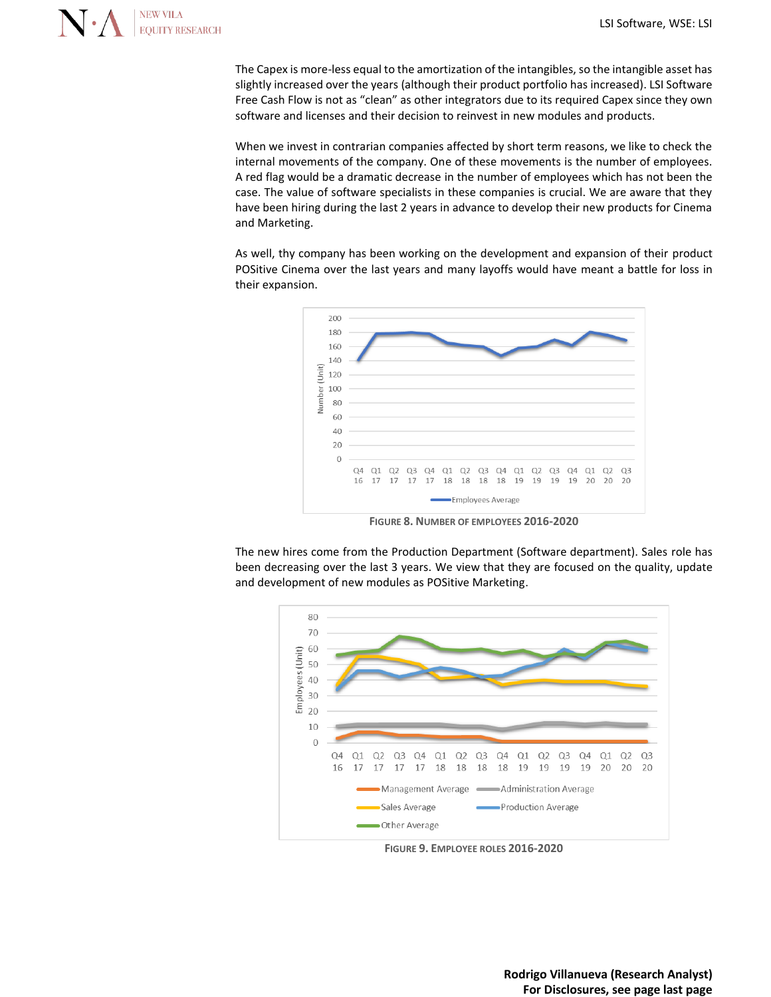

The Capex is more-less equal to the amortization of the intangibles, so the intangible asset has slightly increased over the years (although their product portfolio has increased). LSI Software Free Cash Flow is not as "clean" as other integrators due to its required Capex since they own software and licenses and their decision to reinvest in new modules and products.

When we invest in contrarian companies affected by short term reasons, we like to check the internal movements of the company. One of these movements is the number of employees. A red flag would be a dramatic decrease in the number of employees which has not been the case. The value of software specialists in these companies is crucial. We are aware that they have been hiring during the last 2 years in advance to develop their new products for Cinema and Marketing.

As well, thy company has been working on the development and expansion of their product POSitive Cinema over the last years and many layoffs would have meant a battle for loss in their expansion.



**FIGURE 8. NUMBER OF EMPLOYEES 2016-2020**

The new hires come from the Production Department (Software department). Sales role has been decreasing over the last 3 years. We view that they are focused on the quality, update and development of new modules as POSitive Marketing.



**FIGURE 9. EMPLOYEE ROLES 2016-2020**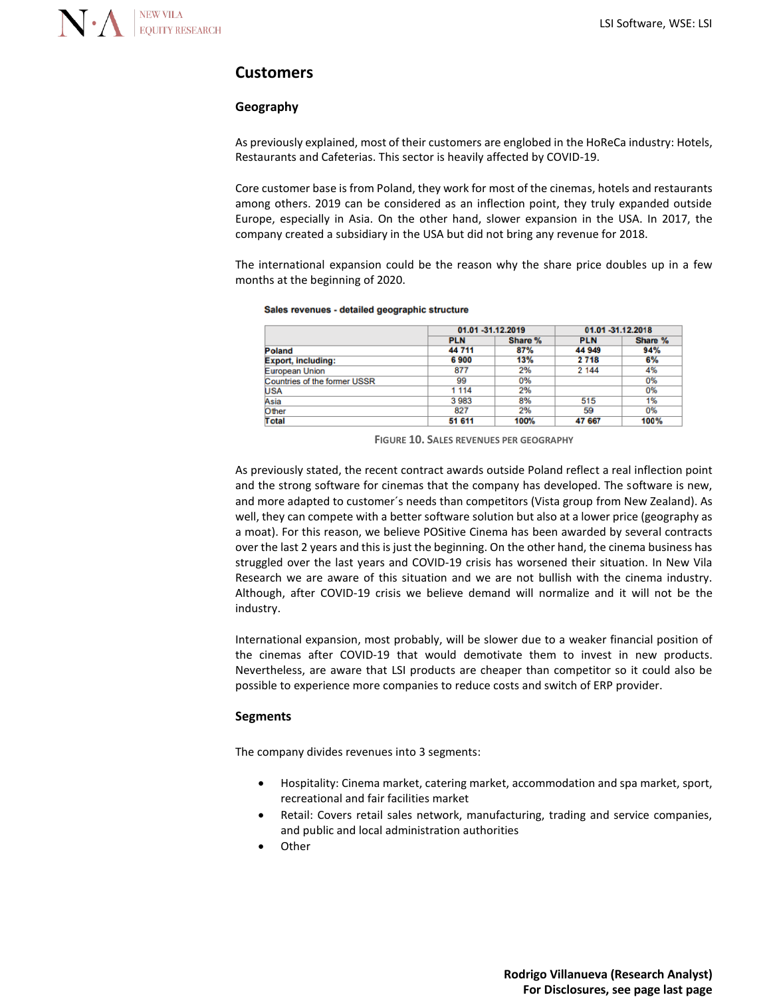### **Customers**

#### **Geography**

As previously explained, most of their customers are englobed in the HoReCa industry: Hotels, Restaurants and Cafeterias. This sector is heavily affected by COVID-19.

Core customer base is from Poland, they work for most of the cinemas, hotels and restaurants among others. 2019 can be considered as an inflection point, they truly expanded outside Europe, especially in Asia. On the other hand, slower expansion in the USA. In 2017, the company created a subsidiary in the USA but did not bring any revenue for 2018.

The international expansion could be the reason why the share price doubles up in a few months at the beginning of 2020.

#### Sales revenues - detailed geographic structure

|                              |            | 01.01 -31.12.2019 |            | 01.01 -31.12.2018 |
|------------------------------|------------|-------------------|------------|-------------------|
|                              | <b>PLN</b> | Share %           | <b>PLN</b> | Share %           |
| Poland                       | 44 711     | 87%               | 44 949     | 94%               |
| <b>Export, including:</b>    | 6900       | 13%               | 2 7 1 8    | 6%                |
| European Union               | 877        | 2%                | 2 144      | 4%                |
| Countries of the former USSR | 99         | 0%                |            | 0%                |
| <b>USA</b>                   | 1 1 1 4    | 2%                |            | 0%                |
| Asia                         | 3983       | 8%                | 515        | 1%                |
| Other                        | 827        | 2%                | 59         | 0%                |
| <b>Total</b>                 | 51 611     | 100%              | 47 667     | 100%              |

**FIGURE 10. SALES REVENUES PER GEOGRAPHY**

As previously stated, the recent contract awards outside Poland reflect a real inflection point and the strong software for cinemas that the company has developed. The software is new, and more adapted to customer´s needs than competitors (Vista group from New Zealand). As well, they can compete with a better software solution but also at a lower price (geography as a moat). For this reason, we believe POSitive Cinema has been awarded by several contracts over the last 2 years and this is just the beginning. On the other hand, the cinema business has struggled over the last years and COVID-19 crisis has worsened their situation. In New Vila Research we are aware of this situation and we are not bullish with the cinema industry. Although, after COVID-19 crisis we believe demand will normalize and it will not be the industry.

International expansion, most probably, will be slower due to a weaker financial position of the cinemas after COVID-19 that would demotivate them to invest in new products. Nevertheless, are aware that LSI products are cheaper than competitor so it could also be possible to experience more companies to reduce costs and switch of ERP provider.

#### **Segments**

The company divides revenues into 3 segments:

- Hospitality: Cinema market, catering market, accommodation and spa market, sport, recreational and fair facilities market
- Retail: Covers retail sales network, manufacturing, trading and service companies, and public and local administration authorities
- **Other**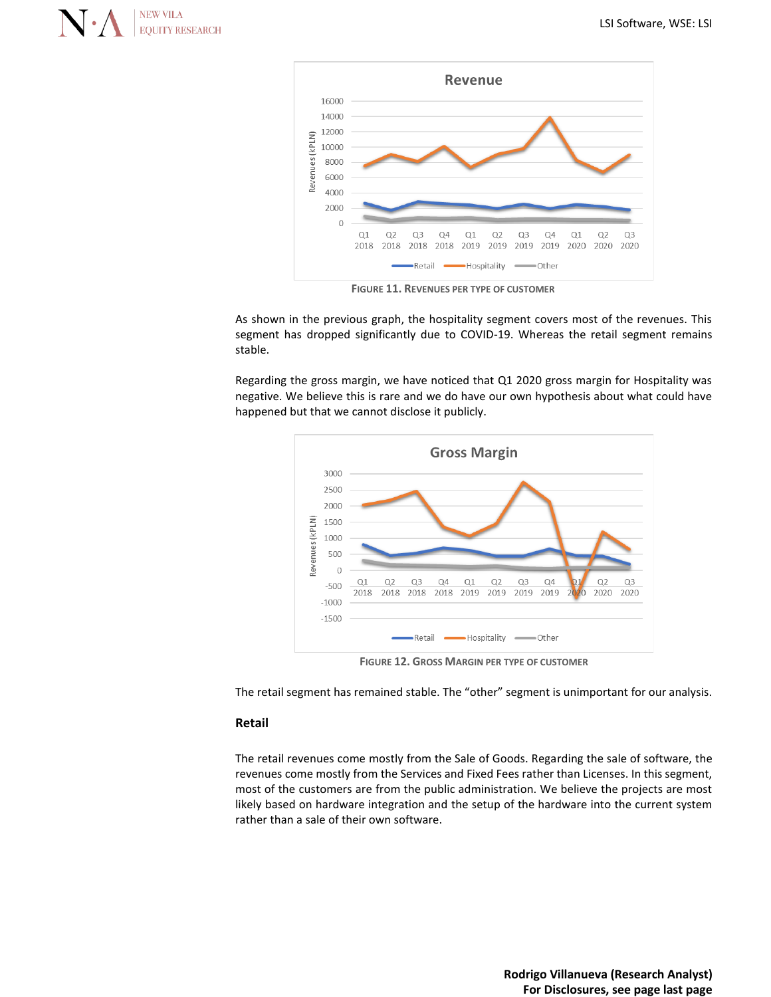



**FIGURE 11. REVENUES PER TYPE OF CUSTOMER**

As shown in the previous graph, the hospitality segment covers most of the revenues. This segment has dropped significantly due to COVID-19. Whereas the retail segment remains stable.

Regarding the gross margin, we have noticed that Q1 2020 gross margin for Hospitality was negative. We believe this is rare and we do have our own hypothesis about what could have happened but that we cannot disclose it publicly.



**FIGURE 12. GROSS MARGIN PER TYPE OF CUSTOMER**

The retail segment has remained stable. The "other" segment is unimportant for our analysis.

#### **Retail**

The retail revenues come mostly from the Sale of Goods. Regarding the sale of software, the revenues come mostly from the Services and Fixed Fees rather than Licenses. In this segment, most of the customers are from the public administration. We believe the projects are most likely based on hardware integration and the setup of the hardware into the current system rather than a sale of their own software.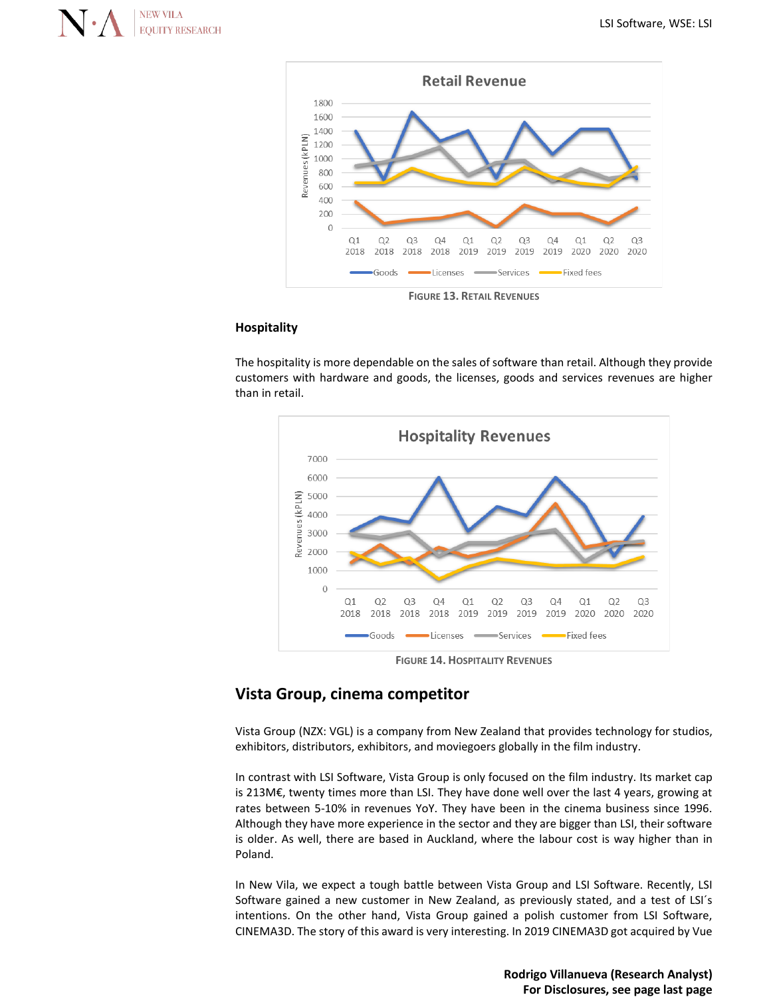



**FIGURE 13. RETAIL REVENUES**

#### **Hospitality**

The hospitality is more dependable on the sales of software than retail. Although they provide customers with hardware and goods, the licenses, goods and services revenues are higher than in retail.



**FIGURE 14. HOSPITALITY REVENUES**

#### **Vista Group, cinema competitor**

Vista Group (NZX: VGL) is a company from New Zealand that provides technology for studios, exhibitors, distributors, exhibitors, and moviegoers globally in the film industry.

In contrast with LSI Software, Vista Group is only focused on the film industry. Its market cap is 213M€, twenty times more than LSI. They have done well over the last 4 years, growing at rates between 5-10% in revenues YoY. They have been in the cinema business since 1996. Although they have more experience in the sector and they are bigger than LSI, their software is older. As well, there are based in Auckland, where the labour cost is way higher than in Poland.

In New Vila, we expect a tough battle between Vista Group and LSI Software. Recently, LSI Software gained a new customer in New Zealand, as previously stated, and a test of LSI´s intentions. On the other hand, Vista Group gained a polish customer from LSI Software, CINEMA3D. The story of this award is very interesting. In 2019 CINEMA3D got acquired by Vue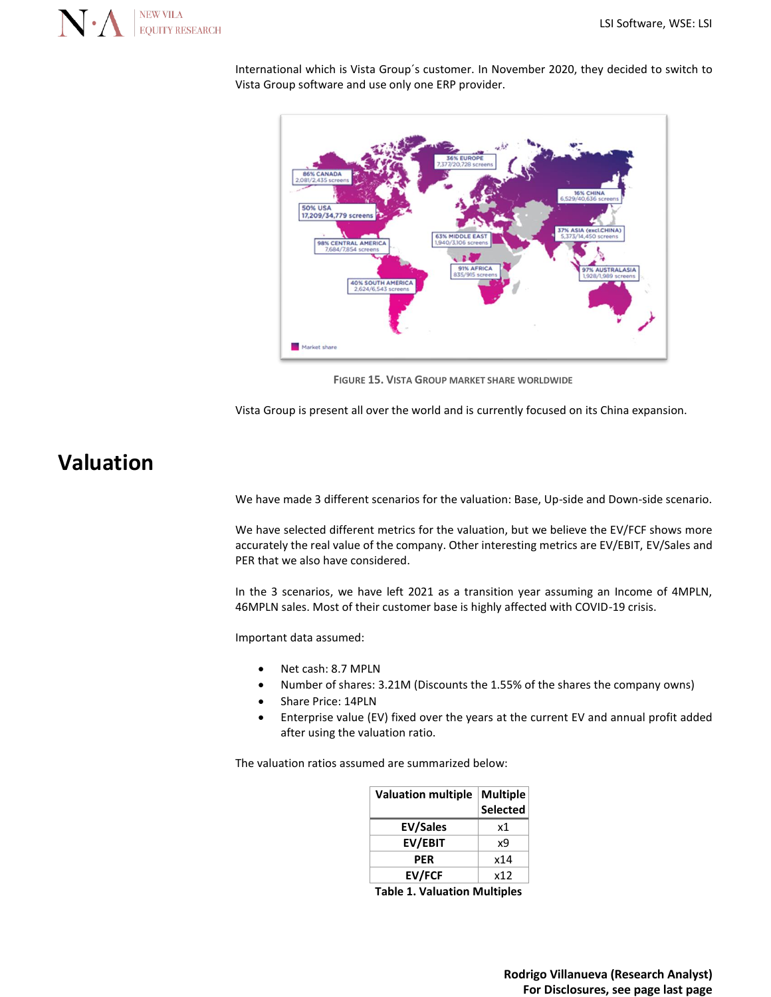

International which is Vista Group´s customer. In November 2020, they decided to switch to Vista Group software and use only one ERP provider.



**FIGURE 15. VISTA GROUP MARKET SHARE WORLDWIDE**

Vista Group is present all over the world and is currently focused on its China expansion.

# **Valuation**

We have made 3 different scenarios for the valuation: Base, Up-side and Down-side scenario.

We have selected different metrics for the valuation, but we believe the EV/FCF shows more accurately the real value of the company. Other interesting metrics are EV/EBIT, EV/Sales and PER that we also have considered.

In the 3 scenarios, we have left 2021 as a transition year assuming an Income of 4MPLN, 46MPLN sales. Most of their customer base is highly affected with COVID-19 crisis.

Important data assumed:

- Net cash: 8.7 MPLN
- Number of shares: 3.21M (Discounts the 1.55% of the shares the company owns)
- Share Price: 14PLN
- Enterprise value (EV) fixed over the years at the current EV and annual profit added after using the valuation ratio.

The valuation ratios assumed are summarized below:

| <b>Valuation multiple</b> | <b>Multiple</b> |
|---------------------------|-----------------|
|                           | <b>Selected</b> |
| <b>EV/Sales</b>           | x1              |
| EV/EBIT                   | x9              |
| <b>PER</b>                | x14             |
| <b>EV/FCF</b>             | x12             |

**Table 1. Valuation Multiples**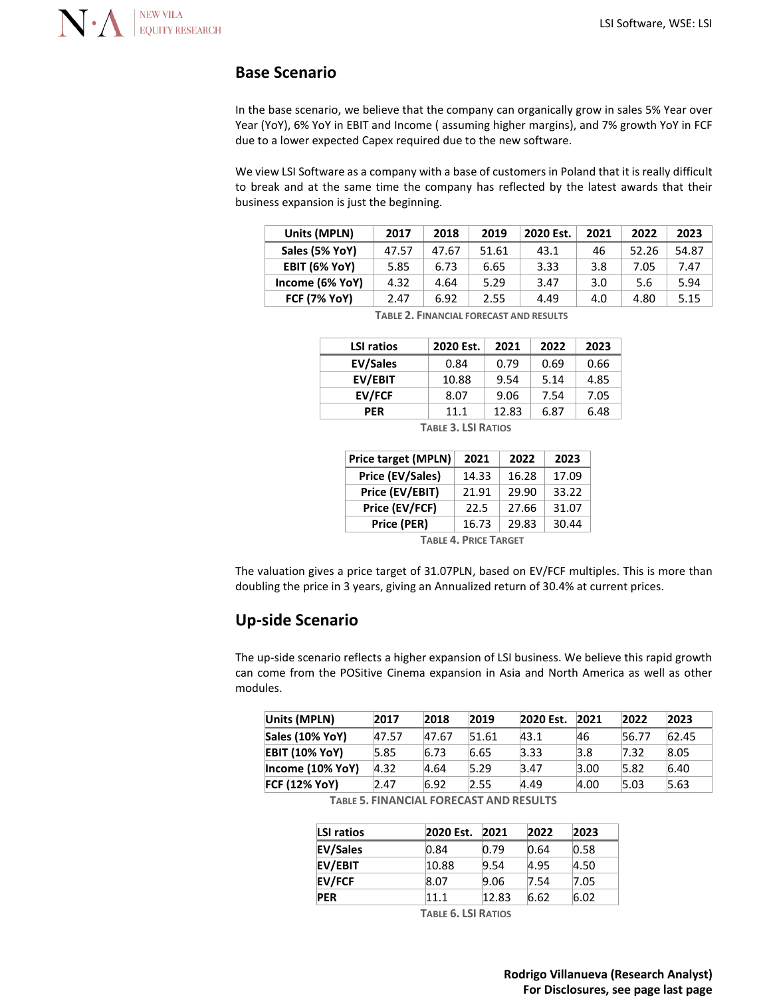

### **Base Scenario**

In the base scenario, we believe that the company can organically grow in sales 5% Year over Year (YoY), 6% YoY in EBIT and Income ( assuming higher margins), and 7% growth YoY in FCF due to a lower expected Capex required due to the new software.

We view LSI Software as a company with a base of customers in Poland that it is really difficult to break and at the same time the company has reflected by the latest awards that their business expansion is just the beginning.

| Units (MPLN)         | 2017  | 2018  | 2019  | 2020 Est. | 2021 | 2022  | 2023  |
|----------------------|-------|-------|-------|-----------|------|-------|-------|
| Sales (5% YoY)       | 47.57 | 47.67 | 51.61 | 43.1      | 46   | 52.26 | 54.87 |
| <b>EBIT (6% YoY)</b> | 5.85  | 6.73  | 6.65  | 3.33      | 3.8  | 7.05  | 7.47  |
| Income (6% YoY)      | 4.32  | 4.64  | 5.29  | 3.47      | 3.0  | 5.6   | 5.94  |
| <b>FCF (7% YoY)</b>  | 2.47  | 6.92  | 2.55  | 4.49      | 4.0  | 4.80  | 5.15  |

| <b>LSI ratios</b> | 2020 Est. | 2021  | 2022 | 2023 |
|-------------------|-----------|-------|------|------|
| <b>EV/Sales</b>   | 0.84      | 0.79  | 0.69 | 0.66 |
| EV/EBIT           | 10.88     | 9.54  | 5.14 | 4.85 |
| <b>EV/FCF</b>     | 8.07      | 9.06  | 7.54 | 7.05 |
| <b>PER</b>        | 11.1      | 12.83 | 6.87 | 6.48 |
|                   | $    -$   |       |      |      |

**TABLE 2. FINANCIAL FORECAST AND RESULTS**

**TABLE 3. LSI RATIOS**

| <b>Price target (MPLN)</b> | 2021  | 2022  | 2023  |
|----------------------------|-------|-------|-------|
| Price (EV/Sales)           | 14.33 | 16.28 | 17.09 |
| Price (EV/EBIT)            | 21.91 | 29.90 | 33.22 |
| Price (EV/FCF)             | 22.5  | 27.66 | 31.07 |
| Price (PER)                | 16.73 | 29.83 | 30.44 |

**TABLE 4. PRICE TARGET**

The valuation gives a price target of 31.07PLN, based on EV/FCF multiples. This is more than doubling the price in 3 years, giving an Annualized return of 30.4% at current prices.

### **Up-side Scenario**

The up-side scenario reflects a higher expansion of LSI business. We believe this rapid growth can come from the POSitive Cinema expansion in Asia and North America as well as other modules.

| Units (MPLN)          | 2017  | 2018  | 2019  | 2020 Est. | 2021 | 2022  | 2023  |
|-----------------------|-------|-------|-------|-----------|------|-------|-------|
| Sales (10% YoY)       | 47.57 | 47.67 | 51.61 | 43.1      | 46   | 56.77 | 62.45 |
| <b>EBIT (10% YoY)</b> | 5.85  | 6.73  | 6.65  | 3.33      | 3.8  | 7.32  | 8.05  |
| Income (10% YoY)      | 4.32  | 4.64  | 5.29  | 3.47      | 3.00 | 5.82  | 6.40  |
| <b>FCF (12% YoY)</b>  | 2.47  | 6.92  | 2.55  | 4.49      | 4.00 | 5.03  | 5.63  |

**TABLE 5. FINANCIAL FORECAST AND RESULTS**

| <b>LSI ratios</b> | 2020 Est. | 2021  | 2022 | 2023 |
|-------------------|-----------|-------|------|------|
| <b>EV/Sales</b>   | 0.84      | 0.79  | 0.64 | 0.58 |
| EV/EBIT           | 10.88     | 9.54  | 4.95 | 4.50 |
| <b>EV/FCF</b>     | 8.07      | 9.06  | 7.54 | 7.05 |
| <b>PER</b>        | 11.1      | 12.83 | 6.62 | 6.02 |

**TABLE 6. LSI RATIOS**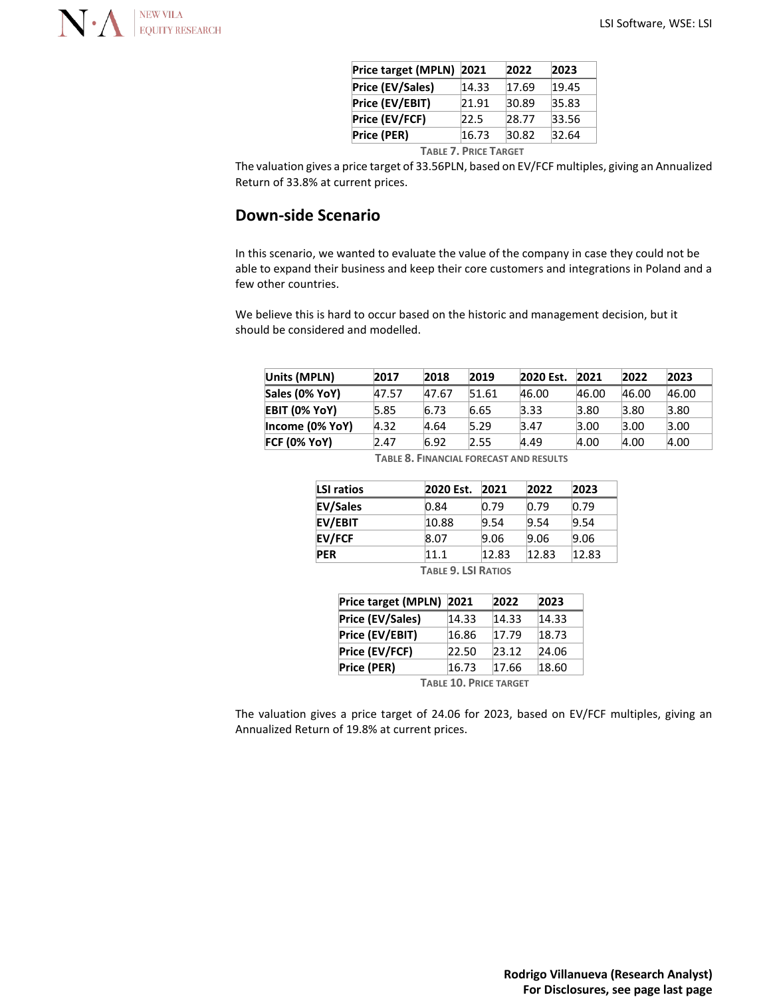

| Price target (MPLN) 2021                               |       | 2022  | 2023  |  |  |  |
|--------------------------------------------------------|-------|-------|-------|--|--|--|
| Price (EV/Sales)                                       | 14.33 | 17.69 | 19.45 |  |  |  |
| Price (EV/EBIT)                                        | 21.91 | 30.89 | 35.83 |  |  |  |
| Price (EV/FCF)                                         | 22.5  | 28.77 | 33.56 |  |  |  |
| Price (PER)                                            | 16.73 | 30.82 | 32.64 |  |  |  |
| $T \cdot \cdots \cdot T$ Detail $T \cdot \cdots \cdot$ |       |       |       |  |  |  |

**TABLE 7. PRICE TARGET**

The valuation gives a price target of 33.56PLN, based on EV/FCF multiples, giving an Annualized Return of 33.8% at current prices.

## **Down-side Scenario**

In this scenario, we wanted to evaluate the value of the company in case they could not be able to expand their business and keep their core customers and integrations in Poland and a few other countries.

We believe this is hard to occur based on the historic and management decision, but it should be considered and modelled.

| Units (MPLN)    | 2017  | 2018  | 2019  | 2020 Est. | 2021  | 2022  | 2023  |
|-----------------|-------|-------|-------|-----------|-------|-------|-------|
| Sales (0% YoY)  | 47.57 | 47.67 | 51.61 | 46.00     | 46.00 | 46.00 | 46.00 |
| EBIT (0% YoY)   | 5.85  | 6.73  | 6.65  | 3.33      | 3.80  | 3.80  | 3.80  |
| Income (0% YoY) | 4.32  | 4.64  | 5.29  | 3.47      | 3.00  | 3.00  | 3.00  |
| FCF (0% YoY)    | 2.47  | 6.92  | 2.55  | 4.49      | 4.00  | 4.00  | 4.00  |
|                 |       |       |       |           |       |       |       |

| LSI ratios      | 2020 Est. | 2021  | 2022  | 2023            |
|-----------------|-----------|-------|-------|-----------------|
| <b>EV/Sales</b> | 0.84      | 0.79  | 0.79  | 0.79            |
| <b>EV/EBIT</b>  | 10.88     | 9.54  | 9.54  | 9.54            |
| <b>EV/FCF</b>   | 8.07      | 9.06  | 9.06  | 9.06            |
| <b>PER</b>      | 11.1      | 12.83 | 12.83 | $ 12.83\rangle$ |

**TABLE 8. FINANCIAL FORECAST AND RESULTS**

**TABLE 9. LSI RATIOS**

| Price target (MPLN) | 2021  | 2022  | 2023  |
|---------------------|-------|-------|-------|
| Price (EV/Sales)    | 14.33 | 14.33 | 14.33 |
| Price (EV/EBIT)     | 16.86 | 17.79 | 18.73 |
| Price (EV/FCF)      | 22.50 | 23.12 | 24.06 |
| Price (PER)         | 16.73 | 17.66 | 18.60 |
|                     |       |       |       |

**TABLE 10. PRICE TARGET**

The valuation gives a price target of 24.06 for 2023, based on EV/FCF multiples, giving an Annualized Return of 19.8% at current prices.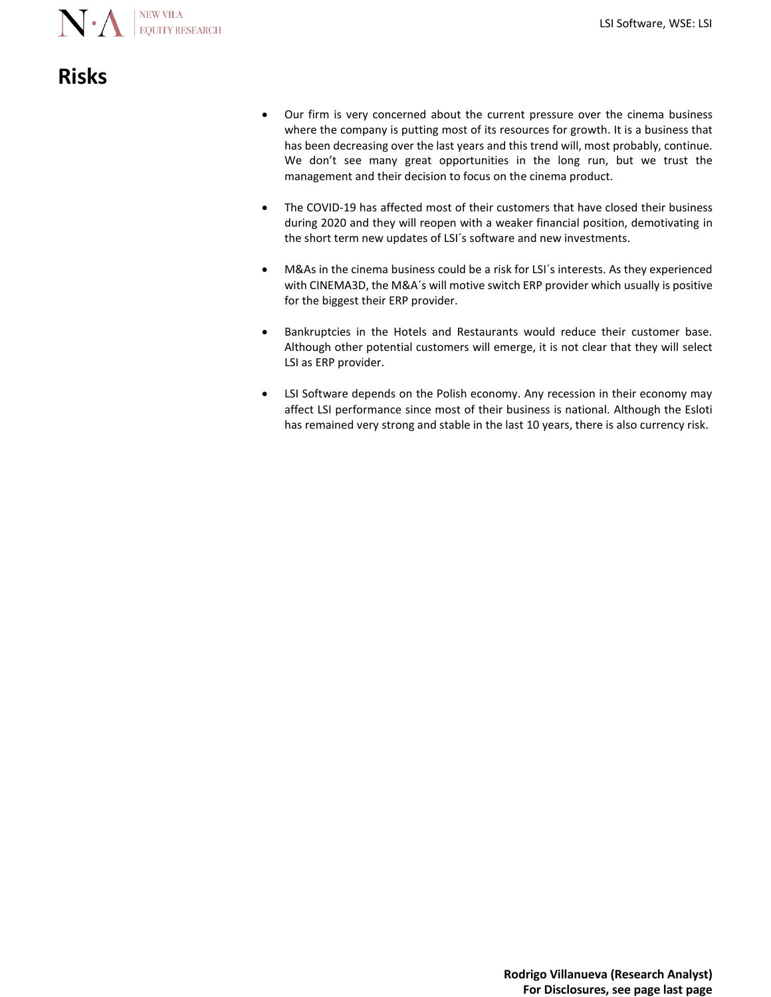

# **Risks**

- Our firm is very concerned about the current pressure over the cinema business where the company is putting most of its resources for growth. It is a business that has been decreasing over the last years and this trend will, most probably, continue. We don't see many great opportunities in the long run, but we trust the management and their decision to focus on the cinema product.
- The COVID-19 has affected most of their customers that have closed their business during 2020 and they will reopen with a weaker financial position, demotivating in the short term new updates of LSI´s software and new investments.
- M&As in the cinema business could be a risk for LSI´s interests. As they experienced with CINEMA3D, the M&A´s will motive switch ERP provider which usually is positive for the biggest their ERP provider.
- Bankruptcies in the Hotels and Restaurants would reduce their customer base. Although other potential customers will emerge, it is not clear that they will select LSI as ERP provider.
- LSI Software depends on the Polish economy. Any recession in their economy may affect LSI performance since most of their business is national. Although the Esloti has remained very strong and stable in the last 10 years, there is also currency risk.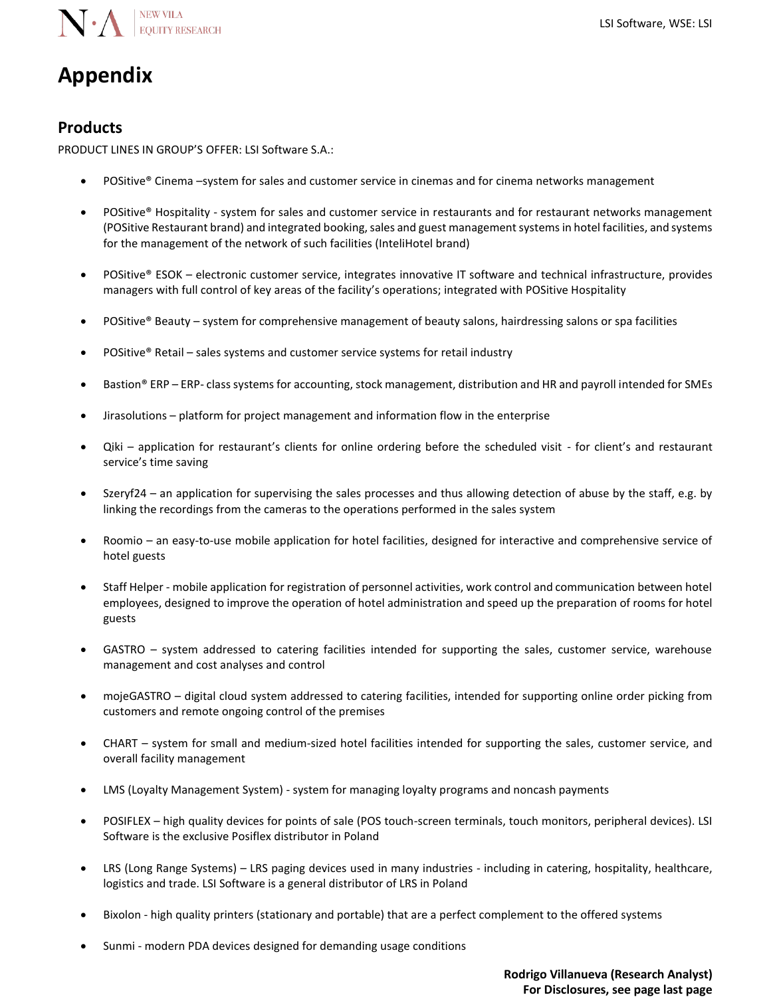

# **Appendix**

## **Products**

PRODUCT LINES IN GROUP'S OFFER: LSI Software S.A.:

- POSitive® Cinema –system for sales and customer service in cinemas and for cinema networks management
- POSitive® Hospitality system for sales and customer service in restaurants and for restaurant networks management (POSitive Restaurant brand) and integrated booking, sales and guest management systems in hotel facilities, and systems for the management of the network of such facilities (InteliHotel brand)
- POSitive® ESOK electronic customer service, integrates innovative IT software and technical infrastructure, provides managers with full control of key areas of the facility's operations; integrated with POSitive Hospitality
- POSitive® Beauty system for comprehensive management of beauty salons, hairdressing salons or spa facilities
- POSitive® Retail sales systems and customer service systems for retail industry
- Bastion® ERP ERP- class systems for accounting, stock management, distribution and HR and payroll intended for SMEs
- Jirasolutions platform for project management and information flow in the enterprise
- Qiki application for restaurant's clients for online ordering before the scheduled visit for client's and restaurant service's time saving
- Szeryf24 an application for supervising the sales processes and thus allowing detection of abuse by the staff, e.g. by linking the recordings from the cameras to the operations performed in the sales system
- Roomio an easy-to-use mobile application for hotel facilities, designed for interactive and comprehensive service of hotel guests
- Staff Helper mobile application for registration of personnel activities, work control and communication between hotel employees, designed to improve the operation of hotel administration and speed up the preparation of rooms for hotel guests
- GASTRO system addressed to catering facilities intended for supporting the sales, customer service, warehouse management and cost analyses and control
- mojeGASTRO digital cloud system addressed to catering facilities, intended for supporting online order picking from customers and remote ongoing control of the premises
- CHART system for small and medium-sized hotel facilities intended for supporting the sales, customer service, and overall facility management
- LMS (Loyalty Management System) system for managing loyalty programs and noncash payments
- POSIFLEX high quality devices for points of sale (POS touch-screen terminals, touch monitors, peripheral devices). LSI Software is the exclusive Posiflex distributor in Poland
- LRS (Long Range Systems) LRS paging devices used in many industries including in catering, hospitality, healthcare, logistics and trade. LSI Software is a general distributor of LRS in Poland
- Bixolon high quality printers (stationary and portable) that are a perfect complement to the offered systems
- Sunmi modern PDA devices designed for demanding usage conditions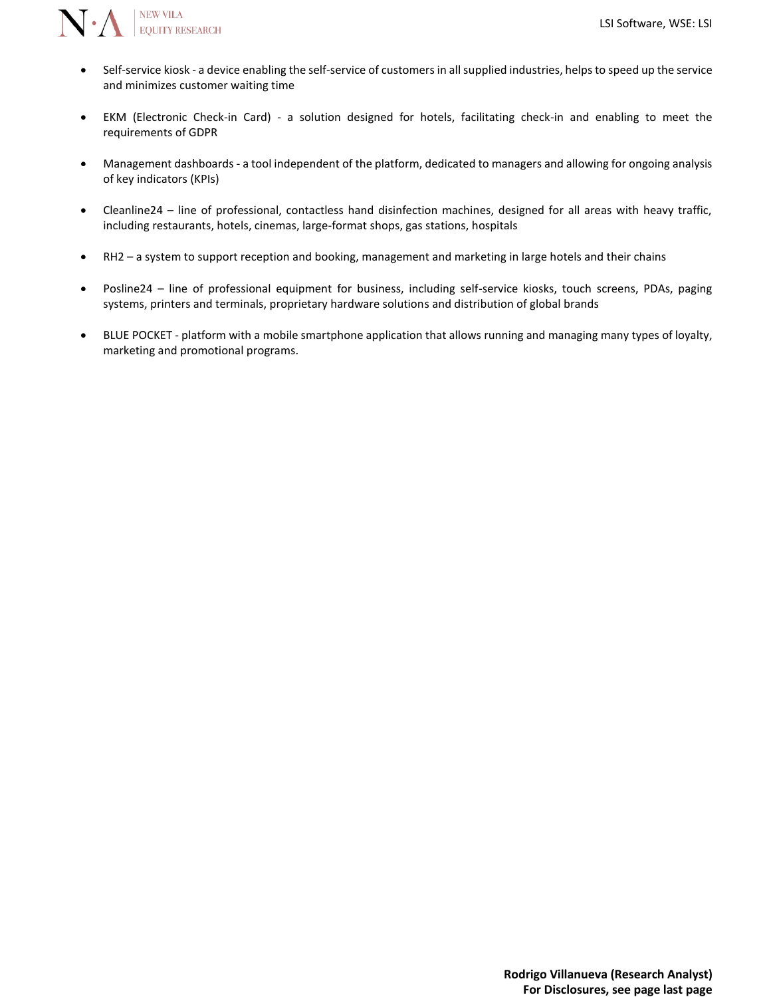

- Self-service kiosk a device enabling the self-service of customers in all supplied industries, helps to speed up the service and minimizes customer waiting time
- EKM (Electronic Check-in Card) a solution designed for hotels, facilitating check-in and enabling to meet the requirements of GDPR
- Management dashboards a tool independent of the platform, dedicated to managers and allowing for ongoing analysis of key indicators (KPIs)
- Cleanline24 line of professional, contactless hand disinfection machines, designed for all areas with heavy traffic, including restaurants, hotels, cinemas, large-format shops, gas stations, hospitals
- RH2 a system to support reception and booking, management and marketing in large hotels and their chains
- Posline24 line of professional equipment for business, including self-service kiosks, touch screens, PDAs, paging systems, printers and terminals, proprietary hardware solutions and distribution of global brands
- BLUE POCKET platform with a mobile smartphone application that allows running and managing many types of loyalty, marketing and promotional programs.